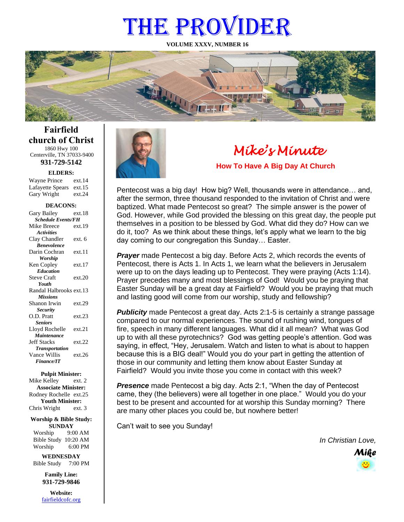# THE PROVIDER

**VOLUME XXXV, NUMBER 16**



**Fairfield church of Christ** 1860 Hwy 100 Centerville, TN 37033-9400

**931-729-5142**

**ELDERS:**

Gary Wright ext.24 Wayne Prince ext.14 Lafayette Spears ext.15

#### **DEACONS:**

| Gary Bailey               | ext 18 |  |
|---------------------------|--------|--|
| <b>Schedule Events/FH</b> |        |  |
| Mike Breece               | ext.19 |  |
| <b>Activities</b>         |        |  |
| Clay Chandler             | ext. 6 |  |
| <b>Benevolence</b>        |        |  |
| Darin Cochran             | ext.11 |  |
| <b>Worship</b>            |        |  |
| Ken Copley                | ext.17 |  |
| <b>Education</b>          |        |  |
| <b>Steve Craft</b>        | ext.20 |  |
| Youth                     |        |  |
| Randal Halbrooks ext.13   |        |  |
| <b>Missions</b>           |        |  |
| Shanon Irwin              | ext.29 |  |
| <b>Security</b>           |        |  |
| O.D. Pratt                | ext.23 |  |
| <b>Seniors</b>            |        |  |
| Lloyd Rochelle            | ext.21 |  |
| Maintenance               |        |  |
| <b>Jeff Stacks</b>        | ext.22 |  |
| <b>Transportation</b>     |        |  |
| Vance Willis              | ext.26 |  |
| <b>Finance/IT</b>         |        |  |

#### **Pulpit Minister:**

Mike Kelley ext. 2 **Associate Minister:** Rodney Rochelle ext.25 **Youth Minister:** Chris Wright ext. 3

#### **Worship & Bible Study: SUNDAY**

Worship 9:00 AM Bible Study 10:20 AM Worship 6:00 PM

**WEDNESDAY** Bible Study 7:00 PM

> **Family Line: 931-729-9846**

**Website:** [fairfieldcofc.org](file:///C:/Users/RickJoyce/Documents/Fairfield%20Website%20Files/fairfieldchurchofchrist.org)



# *Mike's Minute*

**How To Have A Big Day At Church**

Pentecost was a big day! How big? Well, thousands were in attendance… and, after the sermon, three thousand responded to the invitation of Christ and were baptized. What made Pentecost so great? The simple answer is the power of God. However, while God provided the blessing on this great day, the people put themselves in a position to be blessed by God. What did they do? How can we do it, too? As we think about these things, let's apply what we learn to the big day coming to our congregation this Sunday… Easter.

*Prayer* made Pentecost a big day. Before Acts 2, which records the events of Pentecost, there is Acts 1. In Acts 1, we learn what the believers in Jerusalem were up to on the days leading up to Pentecost. They were praying (Acts 1:14). Prayer precedes many and most blessings of God! Would you be praying that Easter Sunday will be a great day at Fairfield? Would you be praying that much and lasting good will come from our worship, study and fellowship?

**Publicity** made Pentecost a great day. Acts 2:1-5 is certainly a strange passage compared to our normal experiences. The sound of rushing wind, tongues of fire, speech in many different languages. What did it all mean? What was God up to with all these pyrotechnics? God was getting people's attention. God was saying, in effect, "Hey, Jerusalem. Watch and listen to what is about to happen because this is a BIG deal!" Would you do your part in getting the attention of those in our community and letting them know about Easter Sunday at Fairfield? Would you invite those you come in contact with this week?

**Presence** made Pentecost a big day. Acts 2:1, "When the day of Pentecost" came, they (the believers) were all together in one place." Would you do your best to be present and accounted for at worship this Sunday morning? There are many other places you could be, but nowhere better!

Can't wait to see you Sunday!

*In Christian Love,*

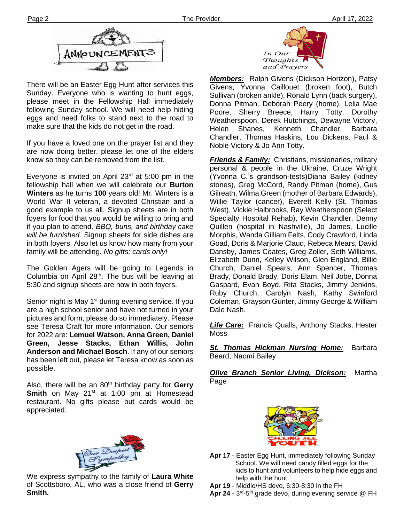

There will be an Easter Egg Hunt after services this Sunday. Everyone who is wanting to hunt eggs, please meet in the Fellowship Hall immediately following Sunday school. We will need help hiding eggs and need folks to stand next to the road to make sure that the kids do not get in the road.

If you have a loved one on the prayer list and they are now doing better, please let one of the elders know so they can be removed from the list.

Everyone is invited on April  $23<sup>rd</sup>$  at 5:00 pm in the fellowship hall when we will celebrate our **Burton Winters** as he turns **100** years old! Mr. Winters is a World War II veteran, a devoted Christian and a good example to us all. Signup sheets are in both foyers for food that you would be willing to bring and if you plan to attend. *BBQ, buns, and birthday cake will be furnished.* Signup sheets for side dishes are in both foyers. Also let us know how many from your family will be attending. *No gifts; cards only!*

The Golden Agers will be going to Legends in Columbia on April  $28<sup>th</sup>$ . The bus will be leaving at 5:30 and signup sheets are now in both foyers.

Senior night is May 1<sup>st</sup> during evening service. If you are a high school senior and have not turned in your pictures and form, please do so immediately. Please see Teresa Craft for more information. Our seniors for 2022 are: **Lemuel Watson, Anna Green, Daniel Green, Jesse Stacks, Ethan Willis, John Anderson and Michael Bosch**. If any of our seniors has been left out, please let Teresa know as soon as possible.

**filem** Also, there will be an 80th birthday party for **Gerry Smith** on May 21<sup>st</sup> at 1:00 pm at Homestead restaurant. No gifts please but cards would be appreciated.



We express sympathy to the family of **Laura White** of Scottsboro, AL, who was a close friend of **Gerry Smith.**



*Members:* Ralph Givens (Dickson Horizon), Patsy Givens, Yvonna Caillouet (broken foot), Butch Sullivan (broken ankle), Ronald Lynn (back surgery), Donna Pitman, Deborah Peery (home), Lelia Mae Poore, Sherry Breece, Harry Totty, Dorothy Weatherspoon, Derek Hutchings, Dewayne Victory, Helen Shanes, Kenneth Chandler, Barbara Chandler, Thomas Haskins, Lou Dickens, Paul & Noble Victory & Jo Ann Totty.

*Friends & Family:* Christians, missionaries, military personal & people in the Ukraine, Cruze Wright (Yvonna C.'s grandson-tests)Diana Bailey (kidney stones), Greg McCord, Randy Pitman (home), Gus Gilreath, Wilma Green (mother of Barbara Edwards), Willie Taylor (cancer), Everett Kelly (St. Thomas West), Vickie Halbrooks, Ray Weatherspoon (Select Specialty Hospital Rehab), Kevin Chandler, Denny Quillen (hospital in Nashville), Jo James, Lucille Morphis, Wanda Gilliam Felts, Cody Crawford, Linda Goad, Doris & Marjorie Claud, Rebeca Mears, David Dansby, James Coates, Greg Zoller, Seth Williams, Elizabeth Dunn, Kelley Wilson, Glen England, Billie Church, Daniel Spears, Ann Spencer, Thomas Brady, Donald Brady, Doris Elam, Neil Jobe, Donna Gaspard, Evan Boyd, Rita Stacks, Jimmy Jenkins, Ruby Church, Carolyn Nash, Kathy Swinford Coleman, Grayson Gunter, Jimmy George & William Dale Nash.

*Life Care:* Francis Qualls, Anthony Stacks, Hester Moss

*St. Thomas Hickman Nursing Home:* Barbara Beard, Naomi Bailey

*Olive Branch Senior Living, Dickson:* Martha Page



**Apr 17** - Easter Egg Hunt, immediately following Sunday School. We will need candy filled eggs for the kids to hunt and volunteers to help hide eggs and help with the hunt.

**Apr 19** - Middle/HS devo, 6:30-8:30 in the FH

Apr 24 - 3<sup>rd</sup>-5<sup>th</sup> grade devo, during evening service @ FH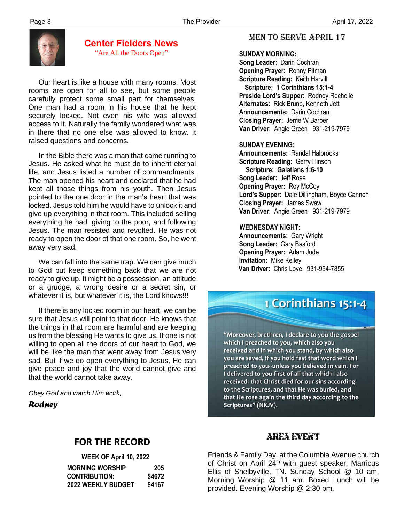

## **Center Fielders News** "Are All the Doors Open"

 Our heart is like a house with many rooms. Most rooms are open for all to see, but some people carefully protect some small part for themselves. One man had a room in his house that he kept securely locked. Not even his wife was allowed access to it. Naturally the family wondered what was in there that no one else was allowed to know. It raised questions and concerns.

 In the Bible there was a man that came running to Jesus. He asked what he must do to inherit eternal life, and Jesus listed a number of commandments. The man opened his heart and declared that he had kept all those things from his youth. Then Jesus pointed to the one door in the man's heart that was locked. Jesus told him he would have to unlock it and give up everything in that room. This included selling everything he had, giving to the poor, and following Jesus. The man resisted and revolted. He was not ready to open the door of that one room. So, he went away very sad.

 We can fall into the same trap. We can give much to God but keep something back that we are not ready to give up. It might be a possession, an attitude or a grudge, a wrong desire or a secret sin, or whatever it is, but whatever it is, the Lord knows!!!

 give peace and joy that the world cannot give and If there is any locked room in our heart, we can be sure that Jesus will point to that door. He knows that the things in that room are harmful and are keeping us from the blessing He wants to give us. If one is not willing to open all the doors of our heart to God, we will be like the man that went away from Jesus very sad. But if we do open everything to Jesus, He can that the world cannot take away.

*Obey God and watch Him work,*

*Rodney*

# MEN TO SERVE April 17

### **SUNDAY MORNING:**

**Song Leader:** Darin Cochran  **Opening Prayer:** Ronny Pitman **Scripture Reading:** Keith Harvill  **Scripture: 1 Corinthians 15:1-4 Preside Lord's Supper:** Rodney Rochelle  **Alternates:** Rick Bruno, Kenneth Jett  **Announcements:** Darin Cochran  **Closing Prayer:** Jerrie W Barber **Van Driver:** Angie Green 931-219-7979

## **SUNDAY EVENING:**

**Announcements:** Randal Halbrooks **Scripture Reading:** Gerry Hinson  **Scripture: Galatians 1:6-10 Song Leader:** Jeff Rose **Opening Prayer: Roy McCoy Lord's Supper:** Dale Dillingham, Boyce Cannon **Closing Prayer:** James Swaw **Van Driver:** Angie Green 931-219-7979

#### **WEDNESDAY NIGHT:**

**Announcements:** Gary Wright **Song Leader:** Gary Basford **Opening Prayer:** Adam Jude **Invitation:** Mike Kelley  **Van Driver:** Chris Love 931-994-7855

# 1 Corinthians 15:1-4

"Moreover, brethren, I declare to you the gospel which I preached to you, which also you received and in which you stand, by which also you are saved, if you hold fast that word which I preached to you--unless you believed in vain. For I delivered to you first of all that which I also received: that Christ died for our sins according to the Scriptures, and that He was buried, and that He rose again the third day according to the Scriptures" (NKJV).

# **FOR THE RECORD**

| WEEK OF April 10, 2022    |        |
|---------------------------|--------|
| <b>MORNING WORSHIP</b>    | 205    |
| <b>CONTRIBUTION:</b>      | \$4672 |
| <b>2022 WEEKLY BUDGET</b> | \$4167 |

# Area event

Friends & Family Day, at the Columbia Avenue church of Christ on April 24<sup>th</sup> with guest speaker: Marricus Ellis of Shelbyville, TN. Sunday School @ 10 am, Morning Worship @ 11 am. Boxed Lunch will be provided. Evening Worship @ 2:30 pm.